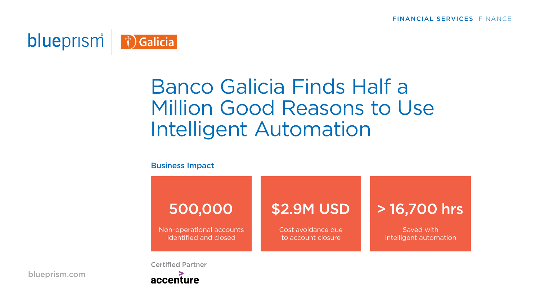

# Banco Galicia Finds Half a Million Good Reasons to Use Intelligent Automation

#### Business Impact

## 500,000

Non-operational accounts identified and closed

### \$2.9M USD

Cost avoidance due to account closure

### > 16,700 hrs

Saved with intelligent automation

Certified Partner



[blueprism.com](https://www.blueprism.com)